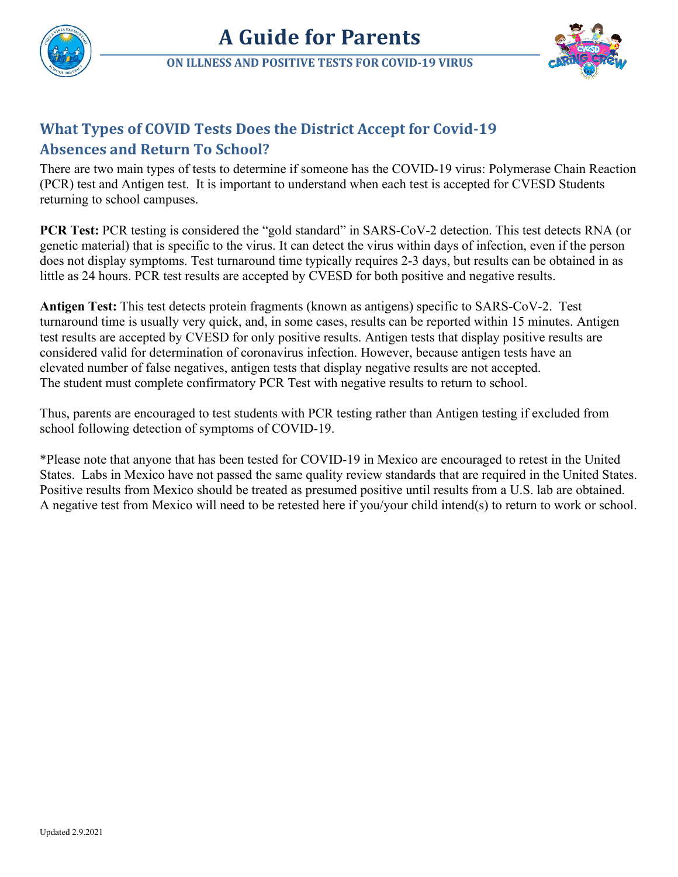

## **What Types of COVID Tests Does the District Accept for Covid-19 Absences and Return To School?**

## There are two main types of tests to determine if someone has the COVID-19 virus: Polymerase Chain Reaction (PCR) test and Antigen test. It is important to understand when each test is accepted for CVESD Students returning to school campuses.

**PCR Test:** PCR testing is considered the "gold standard" in SARS-CoV-2 detection. This test detects RNA (or genetic material) that is specific to the virus. It can detect the virus within days of infection, even if the person does not display symptoms. Test turnaround time typically requires 2-3 days, but results can be obtained in as little as 24 hours. PCR test results are accepted by CVESD for both positive and negative results.

**Antigen Test:** This test detects protein fragments (known as antigens) specific to SARS-CoV-2. Test turnaround time is usually very quick, and, in some cases, results can be reported within 15 minutes. Antigen test results are accepted by CVESD for only positive results. Antigen tests that display positive results are considered valid for determination of coronavirus infection. However, because antigen tests have an elevated number of false negatives, antigen tests that display negative results are not accepted. The student must complete confirmatory PCR Test with negative results to return to school.

Thus, parents are encouraged to test students with PCR testing rather than Antigen testing if excluded from school following detection of symptoms of COVID-19.

\*Please note that anyone that has been tested for COVID-19 in Mexico are encouraged to retest in the United States. Labs in Mexico have not passed the same quality review standards that are required in the United States. Positive results from Mexico should be treated as presumed positive until results from a U.S. lab are obtained. A negative test from Mexico will need to be retested here if you/your child intend(s) to return to work or school.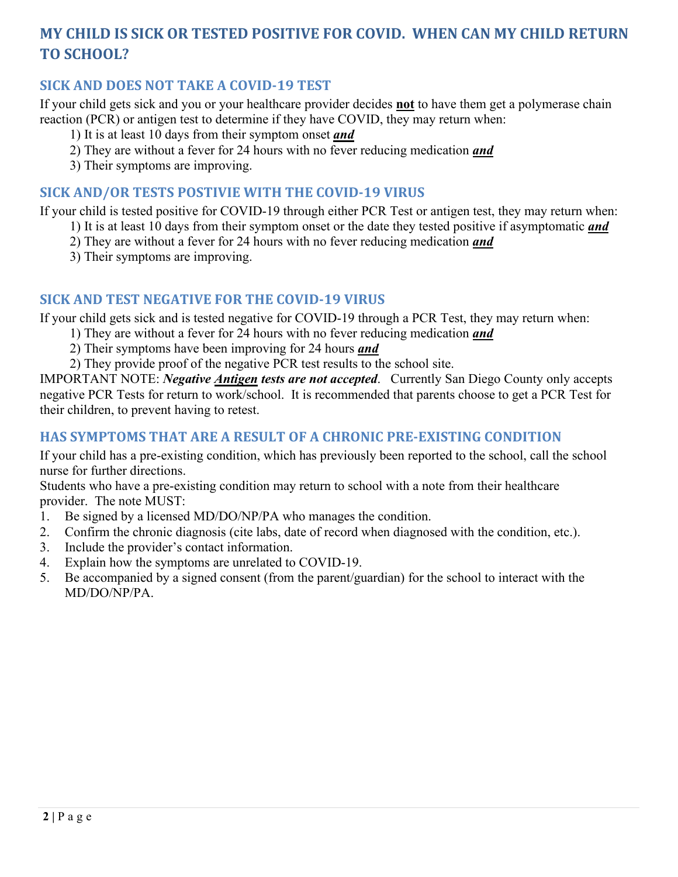# **MY CHILD IS SICK OR TESTED POSITIVE FOR COVID. WHEN CAN MY CHILD RETURN TO SCHOOL?**

#### **SICK AND DOES NOT TAKE A COVID-19 TEST**

If your child gets sick and you or your healthcare provider decides **not** to have them get a polymerase chain reaction (PCR) or antigen test to determine if they have COVID, they may return when:

- 1) It is at least 10 days from their symptom onset *and*
- 2) They are without a fever for 24 hours with no fever reducing medication *and*
- 3) Their symptoms are improving.

#### **SICK AND/OR TESTS POSTIVIE WITH THE COVID-19 VIRUS**

If your child is tested positive for COVID-19 through either PCR Test or antigen test, they may return when:

- 1) It is at least 10 days from their symptom onset or the date they tested positive if asymptomatic *and*
- 2) They are without a fever for 24 hours with no fever reducing medication *and*
- 3) Their symptoms are improving.

#### **SICK AND TEST NEGATIVE FOR THE COVID-19 VIRUS**

If your child gets sick and is tested negative for COVID-19 through a PCR Test, they may return when:

- 1) They are without a fever for 24 hours with no fever reducing medication *and*
- 2) Their symptoms have been improving for 24 hours *and*
- 2) They provide proof of the negative PCR test results to the school site.

IMPORTANT NOTE: *Negative Antigen tests are not accepted*. Currently San Diego County only accepts negative PCR Tests for return to work/school. It is recommended that parents choose to get a PCR Test for their children, to prevent having to retest.

#### **HAS SYMPTOMS THAT ARE A RESULT OF A CHRONIC PRE-EXISTING CONDITION**

If your child has a pre-existing condition, which has previously been reported to the school, call the school nurse for further directions.

Students who have a pre-existing condition may return to school with a note from their healthcare provider. The note MUST:

- 1. Be signed by a licensed MD/DO/NP/PA who manages the condition.
- 2. Confirm the chronic diagnosis (cite labs, date of record when diagnosed with the condition, etc.).
- 3. Include the provider's contact information.
- 4. Explain how the symptoms are unrelated to COVID-19.
- 5. Be accompanied by a signed consent (from the parent/guardian) for the school to interact with the MD/DO/NP/PA.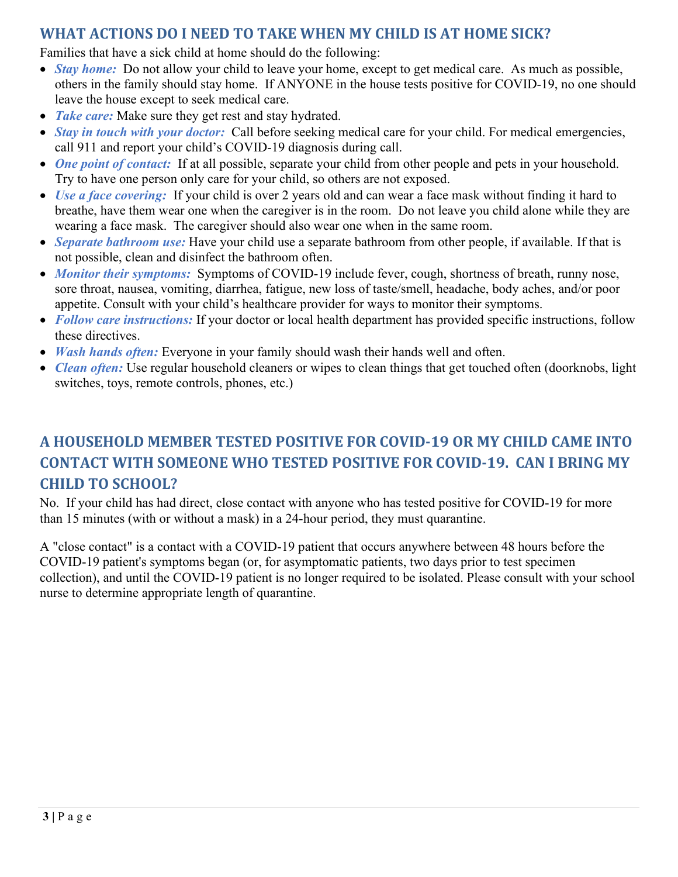## **WHAT ACTIONS DO I NEED TO TAKE WHEN MY CHILD IS AT HOME SICK?**

Families that have a sick child at home should do the following:

- *Stay home:* Do not allow your child to leave your home, except to get medical care. As much as possible, others in the family should stay home. If ANYONE in the house tests positive for COVID-19, no one should leave the house except to seek medical care.
- *Take care:* Make sure they get rest and stay hydrated.
- *Stay in touch with your doctor:* Call before seeking medical care for your child. For medical emergencies, call 911 and report your child's COVID-19 diagnosis during call.
- *One point of contact:* If at all possible, separate your child from other people and pets in your household. Try to have one person only care for your child, so others are not exposed.
- *Use a face covering:* If your child is over 2 years old and can wear a face mask without finding it hard to breathe, have them wear one when the caregiver is in the room. Do not leave you child alone while they are wearing a face mask. The caregiver should also wear one when in the same room.
- *Separate bathroom use:* Have your child use a separate bathroom from other people, if available. If that is not possible, clean and disinfect the bathroom often.
- *Monitor their symptoms:* Symptoms of COVID-19 include fever, cough, shortness of breath, runny nose, sore throat, nausea, vomiting, diarrhea, fatigue, new loss of taste/smell, headache, body aches, and/or poor appetite. Consult with your child's healthcare provider for ways to monitor their symptoms.
- *Follow care instructions:* If your doctor or local health department has provided specific instructions, follow these directives.
- *Wash hands often:* Everyone in your family should wash their hands well and often.
- *Clean often:* Use regular household cleaners or wipes to clean things that get touched often (doorknobs, light switches, toys, remote controls, phones, etc.)

# **A HOUSEHOLD MEMBER TESTED POSITIVE FOR COVID-19 OR MY CHILD CAME INTO CONTACT WITH SOMEONE WHO TESTED POSITIVE FOR COVID-19. CAN I BRING MY CHILD TO SCHOOL?**

No. If your child has had direct, close contact with anyone who has tested positive for COVID-19 for more than 15 minutes (with or without a mask) in a 24-hour period, they must quarantine.

A "close contact" is a contact with a COVID-19 patient that occurs anywhere between 48 hours before the COVID-19 patient's symptoms began (or, for asymptomatic patients, two days prior to test specimen collection), and until the COVID-19 patient is no longer required to be isolated. Please consult with your school nurse to determine appropriate length of quarantine.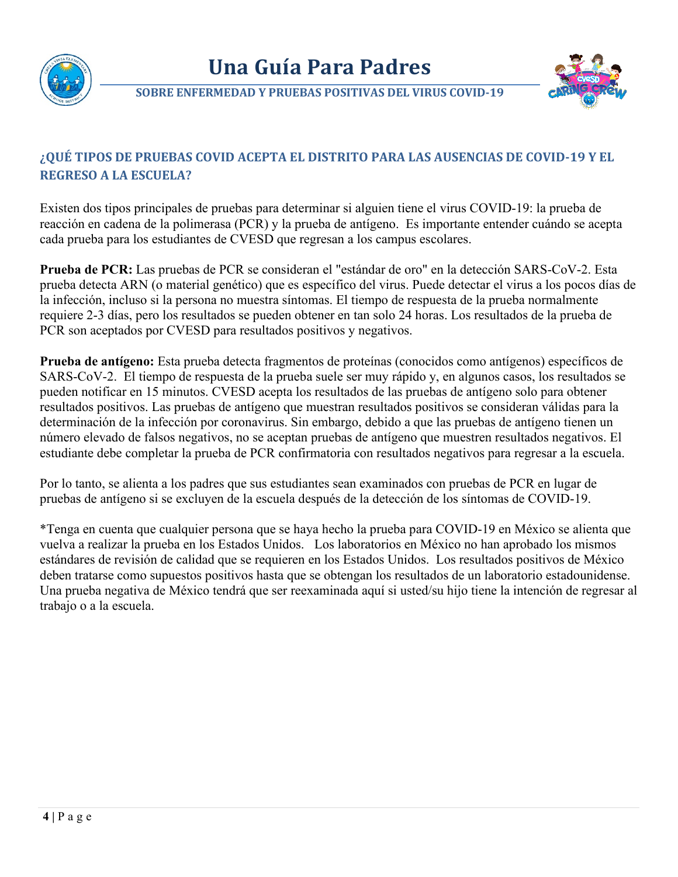



**SOBRE ENFERMEDAD Y PRUEBAS POSITIVAS DEL VIRUS COVID-19**

## **¿QUÉ TIPOS DE PRUEBAS COVID ACEPTA EL DISTRITO PARA LAS AUSENCIAS DE COVID-19 Y EL REGRESO A LA ESCUELA?**

Existen dos tipos principales de pruebas para determinar si alguien tiene el virus COVID-19: la prueba de reacción en cadena de la polimerasa (PCR) y la prueba de antígeno. Es importante entender cuándo se acepta cada prueba para los estudiantes de CVESD que regresan a los campus escolares.

**Prueba de PCR:** Las pruebas de PCR se consideran el "estándar de oro" en la detección SARS-CoV-2. Esta prueba detecta ARN (o material genético) que es específico del virus. Puede detectar el virus a los pocos días de la infección, incluso si la persona no muestra síntomas. El tiempo de respuesta de la prueba normalmente requiere 2-3 días, pero los resultados se pueden obtener en tan solo 24 horas. Los resultados de la prueba de PCR son aceptados por CVESD para resultados positivos y negativos.

**Prueba de antígeno:** Esta prueba detecta fragmentos de proteínas (conocidos como antígenos) específicos de SARS-CoV-2. El tiempo de respuesta de la prueba suele ser muy rápido y, en algunos casos, los resultados se pueden notificar en 15 minutos. CVESD acepta los resultados de las pruebas de antígeno solo para obtener resultados positivos. Las pruebas de antígeno que muestran resultados positivos se consideran válidas para la determinación de la infección por coronavirus. Sin embargo, debido a que las pruebas de antígeno tienen un número elevado de falsos negativos, no se aceptan pruebas de antígeno que muestren resultados negativos. El estudiante debe completar la prueba de PCR confirmatoria con resultados negativos para regresar a la escuela.

Por lo tanto, se alienta a los padres que sus estudiantes sean examinados con pruebas de PCR en lugar de pruebas de antígeno si se excluyen de la escuela después de la detección de los síntomas de COVID-19.

\*Tenga en cuenta que cualquier persona que se haya hecho la prueba para COVID-19 en México se alienta que vuelva a realizar la prueba en los Estados Unidos. Los laboratorios en México no han aprobado los mismos estándares de revisión de calidad que se requieren en los Estados Unidos. Los resultados positivos de México deben tratarse como supuestos positivos hasta que se obtengan los resultados de un laboratorio estadounidense. Una prueba negativa de México tendrá que ser reexaminada aquí si usted/su hijo tiene la intención de regresar al trabajo o a la escuela.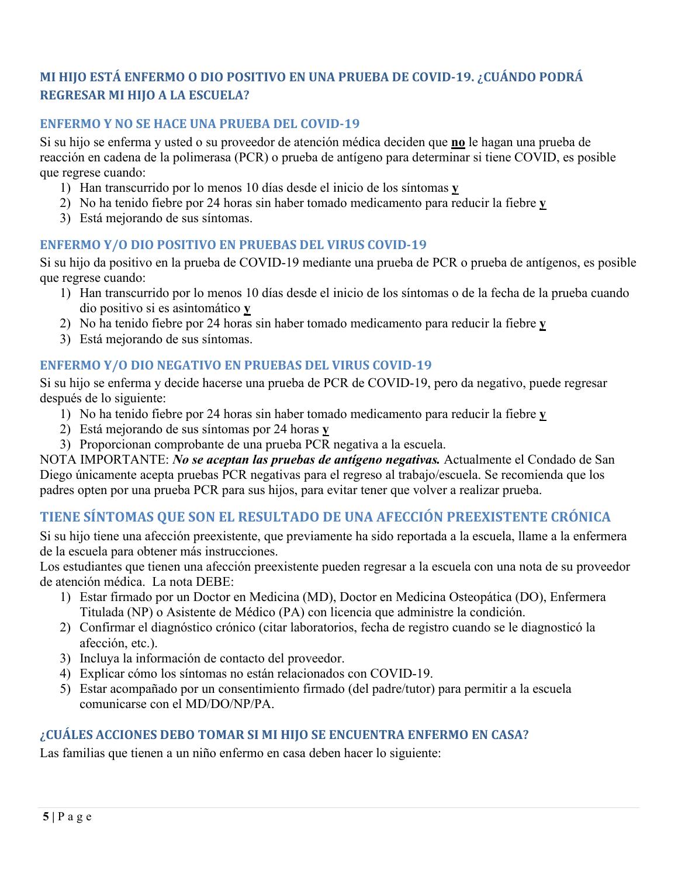## **MI HIJO ESTÁ ENFERMO O DIO POSITIVO EN UNA PRUEBA DE COVID-19. ¿CUÁNDO PODRÁ REGRESAR MI HIJO A LA ESCUELA?**

#### **ENFERMO Y NO SE HACE UNA PRUEBA DEL COVID-19**

Si su hijo se enferma y usted o su proveedor de atención médica deciden que **no** le hagan una prueba de reacción en cadena de la polimerasa (PCR) o prueba de antígeno para determinar si tiene COVID, es posible que regrese cuando:

- 1) Han transcurrido por lo menos 10 días desde el inicio de los síntomas **y**
- 2) No ha tenido fiebre por 24 horas sin haber tomado medicamento para reducir la fiebre **y**
- 3) Está mejorando de sus síntomas.

#### **ENFERMO Y/O DIO POSITIVO EN PRUEBAS DEL VIRUS COVID-19**

Si su hijo da positivo en la prueba de COVID-19 mediante una prueba de PCR o prueba de antígenos, es posible que regrese cuando:

- 1) Han transcurrido por lo menos 10 días desde el inicio de los síntomas o de la fecha de la prueba cuando dio positivo si es asintomático **y**
- 2) No ha tenido fiebre por 24 horas sin haber tomado medicamento para reducir la fiebre **y**
- 3) Está mejorando de sus síntomas.

#### **ENFERMO Y/O DIO NEGATIVO EN PRUEBAS DEL VIRUS COVID-19**

Si su hijo se enferma y decide hacerse una prueba de PCR de COVID-19, pero da negativo, puede regresar después de lo siguiente:

- 1) No ha tenido fiebre por 24 horas sin haber tomado medicamento para reducir la fiebre **y**
- 2) Está mejorando de sus síntomas por 24 horas **y**
- 3) Proporcionan comprobante de una prueba PCR negativa a la escuela.

NOTA IMPORTANTE: *No se aceptan las pruebas de antígeno negativas.* Actualmente el Condado de San Diego únicamente acepta pruebas PCR negativas para el regreso al trabajo/escuela. Se recomienda que los padres opten por una prueba PCR para sus hijos, para evitar tener que volver a realizar prueba.

## **TIENE SÍNTOMAS QUE SON EL RESULTADO DE UNA AFECCIÓN PREEXISTENTE CRÓNICA**

Si su hijo tiene una afección preexistente, que previamente ha sido reportada a la escuela, llame a la enfermera de la escuela para obtener más instrucciones.

Los estudiantes que tienen una afección preexistente pueden regresar a la escuela con una nota de su proveedor de atención médica. La nota DEBE:

- 1) Estar firmado por un Doctor en Medicina (MD), Doctor en Medicina Osteopática (DO), Enfermera Titulada (NP) o Asistente de Médico (PA) con licencia que administre la condición.
- 2) Confirmar el diagnóstico crónico (citar laboratorios, fecha de registro cuando se le diagnosticó la afección, etc.).
- 3) Incluya la información de contacto del proveedor.
- 4) Explicar cómo los síntomas no están relacionados con COVID-19.
- 5) Estar acompañado por un consentimiento firmado (del padre/tutor) para permitir a la escuela comunicarse con el MD/DO/NP/PA.

#### **¿CUÁLES ACCIONES DEBO TOMAR SI MI HIJO SE ENCUENTRA ENFERMO EN CASA?**

Las familias que tienen a un niño enfermo en casa deben hacer lo siguiente: